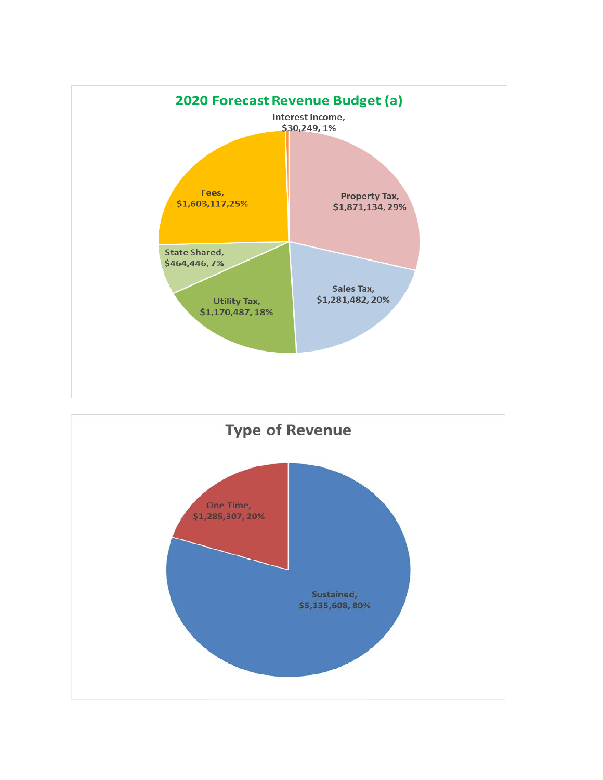

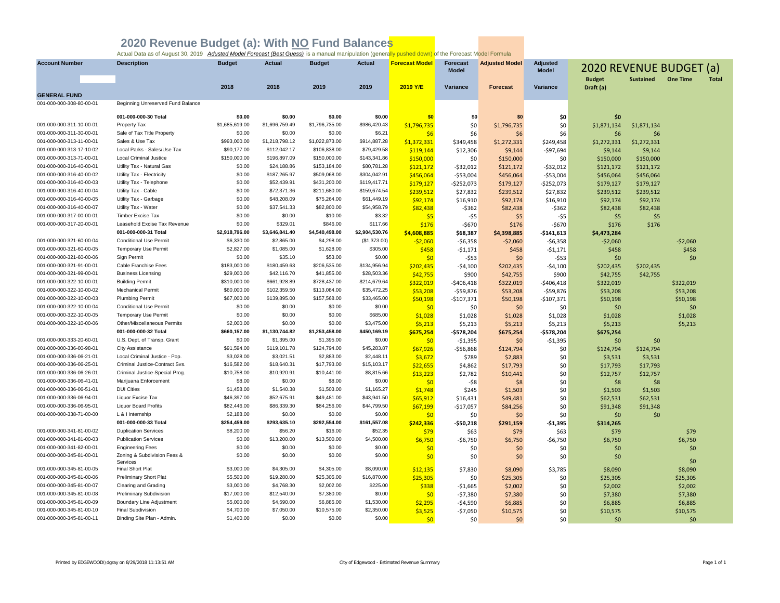| <b>Account Number</b>                                | <b>Description</b>                                 | <b>Budget</b>               | <b>Actual</b>                | <b>Budget</b>                | <b>Actual</b>               | <b>Forecast Model</b> | <b>Forecast</b><br><b>Model</b> | <b>Adjusted Model</b> | <b>Adjusted</b><br><b>Model</b> | <b>2020 REVENUE BUDGET (a)</b> |                  |                 |              |
|------------------------------------------------------|----------------------------------------------------|-----------------------------|------------------------------|------------------------------|-----------------------------|-----------------------|---------------------------------|-----------------------|---------------------------------|--------------------------------|------------------|-----------------|--------------|
|                                                      |                                                    |                             |                              |                              |                             |                       |                                 |                       |                                 | <b>Budget</b>                  | <b>Sustained</b> | <b>One Time</b> | <b>Total</b> |
|                                                      |                                                    | 2018                        | 2018                         | 2019                         | 2019                        | 2019 Y/E              | Variance                        | <b>Forecast</b>       | Variance                        | Draft (a)                      |                  |                 |              |
| <b>GENERAL FUND</b>                                  |                                                    |                             |                              |                              |                             |                       |                                 |                       |                                 |                                |                  |                 |              |
| 001-000-000-308-80-00-01                             | Beginning Unreserved Fund Balance                  |                             |                              |                              |                             |                       |                                 |                       |                                 |                                |                  |                 |              |
|                                                      | 001-000-000-30 Total                               | \$0.00                      | \$0.00                       | \$0.00                       | \$0.00                      | \$0                   | \$0                             | \$0                   | \$0                             | \$0                            |                  |                 |              |
| 001-000-000-311-10-00-01                             | Property Tax                                       | \$1,685,619.00              | \$1,696,759.49               | \$1,796,735.00               | \$986,420.43                | \$1,796,735           | \$0                             | \$1,796,735           | \$0                             | \$1,871,134                    | \$1,871,134      |                 |              |
| 001-000-000-311-30-00-01                             | Sale of Tax Title Property                         | \$0.00                      | \$0.00                       | \$0.00                       | \$6.21                      | \$6                   | \$6                             | \$6                   | \$6                             | \$6                            | \$6              |                 |              |
| 001-000-000-313-11-00-01                             | Sales & Use Tax                                    | \$993,000.00                | \$1,218,798.12               | \$1,022,873.00               | \$914,887.28                | \$1,372,331           | \$349,458                       | \$1,272,331           | \$249,458                       | \$1,272,331                    | \$1,272,331      |                 |              |
| 001-000-000-313-17-10-02                             | Local Parks - Sales/Use Tax                        | \$90,177.00                 | \$112,042.17                 | \$106,838.00                 | \$79,429.58                 | \$119,144             | \$12,306                        | \$9,144               | $-$97,694$                      | \$9,144                        | \$9,144          |                 |              |
| 001-000-000-313-71-00-01                             | <b>Local Criminal Justice</b>                      | \$150,000.00                | \$196,897.09                 | \$150,000.00                 | \$143,341.86                | \$150,000             | \$0                             | \$150,000             | \$0                             | \$150,000                      | \$150,000        |                 |              |
| 001-000-000-316-40-00-01                             | Utility Tax - Natural Gas                          | \$0.00                      | \$24,188.86                  | \$153,184.00                 | \$80,781.28                 | \$121,172             | $-532,012$                      | \$121,172             | $-532,012$                      | \$121,172                      | \$121,172        |                 |              |
| 001-000-000-316-40-00-02                             | Utility Tax - Electricity                          | \$0.00                      | \$187,265.97                 | \$509,068.00                 | \$304,042.91                | \$456,064             | $-$53,004$                      | \$456,064             | $-$53,004$                      | \$456,064                      | \$456,064        |                 |              |
| 001-000-000-316-40-00-03                             | Utility Tax - Telephone                            | \$0.00                      | \$52,439.91                  | \$431,200.00                 | \$119,417.71                | \$179,127             | $-$252,073$                     | \$179,127             | -\$252,073                      | \$179,127                      | \$179,127        |                 |              |
| 001-000-000-316-40-00-04                             | Utility Tax - Cable                                | \$0.00                      | \$72,371.36                  | \$211,680.00                 | \$159,674.54                | \$239,512             | \$27,832                        | \$239,512             | \$27,832                        | \$239.512                      | \$239.512        |                 |              |
| 001-000-000-316-40-00-05                             | Utility Tax - Garbage                              | \$0.00                      | \$48,208.09                  | \$75,264.00                  | \$61,449.19                 | \$92,174              | \$16,910                        | \$92,174              | \$16,910                        | \$92,174                       | \$92,174         |                 |              |
| 001-000-000-316-40-00-07                             | Utility Tax - Water                                | \$0.00                      | \$37,541.33                  | \$82,800.00                  | \$54,958.79                 | \$82,438              | $-5362$                         | \$82,438              | $-$ \$362                       | \$82,438                       | \$82,438         |                 |              |
| 001-000-000-317-00-00-01                             | <b>Timber Excise Tax</b>                           | \$0.00                      | \$0.00                       | \$10.00                      | \$3.32                      | \$5                   | $-55$                           | \$5                   | -\$5                            | \$5                            | \$5              |                 |              |
| 001-000-000-317-20-00-01                             | Leasehold Excise Tax Revenue                       | \$0.00                      | \$329.01                     | \$846.00                     | \$117.66                    | \$176                 | $-5670$                         | \$176                 | -\$670                          | \$176                          | \$176            |                 |              |
|                                                      | 001-000-000-31 Total                               | \$2,918,796.00              | \$3,646,841.40               | \$4,540,498.00               | \$2,904,530.76              | \$4,608,885           | \$68,387                        | \$4,398,885           | $-$141,613$                     | \$4,473,284                    |                  |                 |              |
| 001-000-000-321-60-00-04                             | <b>Conditional Use Permit</b>                      | \$6,330.00                  | \$2,865.00                   | \$4,298.00                   | (\$1,373.00)                | $-52,060$             | $-56,358$                       | $-52,060$             | -\$6,358                        | $-52,060$                      |                  | $-52,060$       |              |
| 001-000-000-321-60-00-05                             | <b>Temporary Use Permit</b>                        | \$2,827.00                  | \$1,085.00                   | \$1,628.00                   | \$305.00                    | \$458                 | $-51,171$                       | \$458                 | $-51,171$                       | \$458                          |                  | \$458           |              |
| 001-000-000-321-60-00-06                             | Sign Permit                                        | \$0.00                      | \$35.10                      | \$53.00                      | \$0.00                      | \$0                   | $-553$                          | \$0                   | $-553$                          | \$0                            |                  | \$0             |              |
| 001-000-000-321-91-00-01                             | Cable Franchise Fees                               | \$183,000.00                | \$180,459.63                 | \$206,535.00                 | \$134,956.94                | \$202,435             | $-$4,100$                       | \$202,435             | $-$4,100$                       | \$202,435                      | \$202,435        |                 |              |
| 001-000-000-321-99-00-01                             | <b>Business Licensing</b>                          | \$29,000.00                 | \$42,116.70                  | \$41,855.00                  | \$28,503.36                 | \$42,755              | \$900                           | \$42,755              | \$900                           | \$42,755                       | \$42,755         |                 |              |
| 001-000-000-322-10-00-01<br>001-000-000-322-10-00-02 | <b>Building Permit</b><br><b>Mechanical Permit</b> | \$310,000.00<br>\$60,000.00 | \$661,928.89<br>\$102,359.50 | \$728,437.00<br>\$113,084.00 | \$214,679.64<br>\$35,472.25 | \$322,019             | $-$406,418$                     | \$322,019             | $-$406,418$                     | \$322,019                      |                  | \$322,019       |              |
| 001-000-000-322-10-00-03                             | <b>Plumbing Permit</b>                             | \$67,000.00                 | \$139,895.00                 | \$157,568.00                 | \$33,465.00                 | \$53,208              | $-$59,876$                      | \$53,208              | $-$59,876$                      | \$53,208                       |                  | \$53,208        |              |
| 001-000-000-322-10-00-04                             | <b>Conditional Use Permit</b>                      | \$0.00                      | \$0.00                       | \$0.00                       | \$0.00                      | \$50,198              | $-$107,371$                     | \$50,198              | $-$107,371$                     | \$50,198                       |                  | \$50,198        |              |
| 001-000-000-322-10-00-05                             | <b>Temporary Use Permit</b>                        | \$0.00                      | \$0.00                       | \$0.00                       | \$685.00                    | \$0                   | \$0                             | \$0                   | \$0                             | \$0                            |                  | \$0             |              |
| 001-000-000-322-10-00-06                             | Other/Miscellaneous Permits                        | \$2,000.00                  | \$0.00                       | \$0.00                       | \$3,475.00                  | \$1,028               | \$1,028                         | \$1,028               | \$1,028                         | \$1,028                        |                  | \$1,028         |              |
|                                                      | 001-000-000-32 Total                               | \$660,157.00                | \$1,130,744.82               | \$1,253,458.00               | \$450,169.19                | \$5,213<br>\$675,254  | \$5,213<br>$-$578,204$          | \$5,213<br>\$675,254  | \$5,213<br>-\$578,204           | \$5,213<br>\$675,254           |                  | \$5,213         |              |
| 001-000-000-333-20-60-01                             | U.S. Dept. of Transp. Grant                        | \$0.00                      | \$1,395.00                   | \$1,395.00                   | \$0.00                      | \$0                   | $-$1,395$                       | \$0                   | $-$1,395$                       | \$0                            | \$0              |                 |              |
| 001-000-000-336-00-98-01                             | <b>City Assistance</b>                             | \$91,594.00                 | \$119,101.78                 | \$124,794.00                 | \$45,283.87                 | \$67,926              | $-$56,868$                      | \$124,794             | \$0                             | \$124,794                      | \$124,794        |                 |              |
| 001-000-000-336-06-21-01                             | Local Criminal Justice - Pop.                      | \$3,028.00                  | \$3,021.51                   | \$2,883.00                   | \$2,448.11                  | \$3,672               | \$789                           | \$2,883               | \$0                             | \$3,531                        | \$3,531          |                 |              |
| 001-000-000-336-06-25-01                             | Criminal Justice-Contract Svs.                     | \$16,582.00                 | \$18,640.31                  | \$17,793.00                  | \$15,103.17                 | \$22,655              | \$4,862                         | \$17,793              | \$0                             | \$17,793                       | \$17,793         |                 |              |
| 001-000-000-336-06-26-01                             | Criminal Justice-Special Prog.                     | \$10,758.00                 | \$10,920.91                  | \$10,441.00                  | \$8,815.66                  | \$13,223              | \$2,782                         | \$10,441              | \$0                             | \$12,757                       | \$12,757         |                 |              |
| 001-000-000-336-06-41-01                             | Marijuana Enforcement                              | \$8.00                      | \$0.00                       | \$8.00                       | \$0.00                      | \$0                   | -\$8                            | \$8                   | \$0                             | \$8                            | \$8              |                 |              |
| 001-000-000-336-06-51-01                             | <b>DUI Cities</b>                                  | \$1,458.00                  | \$1,540.38                   | \$1,503.00                   | \$1,165.27                  | \$1,748               | \$245                           | \$1,503               | \$0                             | \$1,503                        | \$1,503          |                 |              |
| 001-000-000-336-06-94-01                             | Liquor Excise Tax                                  | \$46,397.00                 | \$52,675.91                  | \$49,481.00                  | \$43,941.50                 | \$65,912              | \$16,431                        | \$49,481              | \$0                             | \$62,531                       | \$62,531         |                 |              |
| 001-000-000-336-06-95-01                             | <b>Liquor Board Profits</b>                        | \$82,446.00                 | \$86,339.30                  | \$84,256.00                  | \$44,799.50                 | \$67,199              | $-$17,057$                      | \$84,256              | \$0                             | \$91,348                       | \$91,348         |                 |              |
| 001-000-000-338-71-00-00                             | L & I Internship                                   | \$2,188.00                  | \$0.00                       | \$0.00                       | \$0.00                      | \$0                   | \$0                             | \$0                   | \$0                             | \$0                            | \$0              |                 |              |
|                                                      | 001-000-000-33 Total                               | \$254,459.00                | \$293,635.10                 | \$292,554.00                 | \$161,557.08                | \$242,336             | $-$50,218$                      | \$291,159             | $-$1,395$                       | \$314,265                      |                  |                 |              |
| 001-000-000-341-81-00-02                             | <b>Duplication Services</b>                        | \$8,200.00                  | \$56.20                      | \$16.00                      | \$52.35                     | \$79                  | \$63                            | \$79                  | \$63                            | \$79                           |                  | \$79            |              |
| 001-000-000-341-81-00-03                             | <b>Publication Services</b>                        | \$0.00                      | \$13,200.00                  | \$13,500.00                  | \$4,500.00                  | \$6,750               | $-56,750$                       | \$6,750               | $-56,750$                       | \$6,750                        |                  | \$6,750         |              |
| 001-000-000-341-82-00-01                             | <b>Engineering Fees</b>                            | \$0.00                      | \$0.00                       | \$0.00                       | \$0.00                      | \$0                   | \$0                             | \$0                   | \$0                             | \$0                            |                  | \$0             |              |
| 001-000-000-345-81-00-01                             | Zoning & Subdivision Fees &<br>Services            | \$0.00                      | \$0.00                       | \$0.00                       | \$0.00                      | \$0                   | \$0                             | \$0                   | \$0                             | \$0                            |                  | \$0             |              |
| 001-000-000-345-81-00-05                             | <b>Final Short Plat</b>                            | \$3,000.00                  | \$4,305.00                   | \$4,305.00                   | \$8,090.00                  | \$12,135              | \$7,830                         | \$8,090               | \$3,785                         | \$8,090                        |                  | \$8,090         |              |
| 001-000-000-345-81-00-06                             | <b>Preliminary Short Plat</b>                      | \$5,500.00                  | \$19,280.00                  | \$25,305.00                  | \$16,870.00                 | \$25,305              | \$0                             | \$25,305              | \$0                             | \$25,305                       |                  | \$25,305        |              |
| 001-000-000-345-81-00-07                             | <b>Clearing and Grading</b>                        | \$3,000.00                  | \$4,768.30                   | \$2,002.00                   | \$225.00                    | \$338                 | $-$1,665$                       | \$2,002               | \$0                             | \$2,002                        |                  | \$2,002         |              |
| 001-000-000-345-81-00-08                             | <b>Preliminary Subdivision</b>                     | \$17,000.00                 | \$12,540.00                  | \$7,380.00                   | \$0.00                      | \$0                   | $-57,380$                       | \$7,380               | \$0                             | \$7,380                        |                  | \$7,380         |              |
| 001-000-000-345-81-00-09                             | Boundary Line Adjustment                           | \$5,000.00                  | \$4,590.00                   | \$6,885.00                   | \$1,530.00                  | \$2,295               | $-54,590$                       | \$6,885               | \$0                             | \$6,885                        |                  | \$6,885         |              |
| 001-000-000-345-81-00-10                             | <b>Final Subdivision</b>                           | \$4,700.00                  | \$7,050.00                   | \$10,575.00                  | \$2,350.00                  | \$3,525               | $-57,050$                       | \$10,575              | \$0                             | \$10,575                       |                  | \$10,575        |              |
| 001-000-000-345-81-00-11                             | Binding Site Plan - Admin.                         | \$1,400.00                  | \$0.00                       | \$0.00                       | \$0.00                      | 50                    | \$0                             | \$0                   | \$0                             | \$0                            |                  | \$0             |              |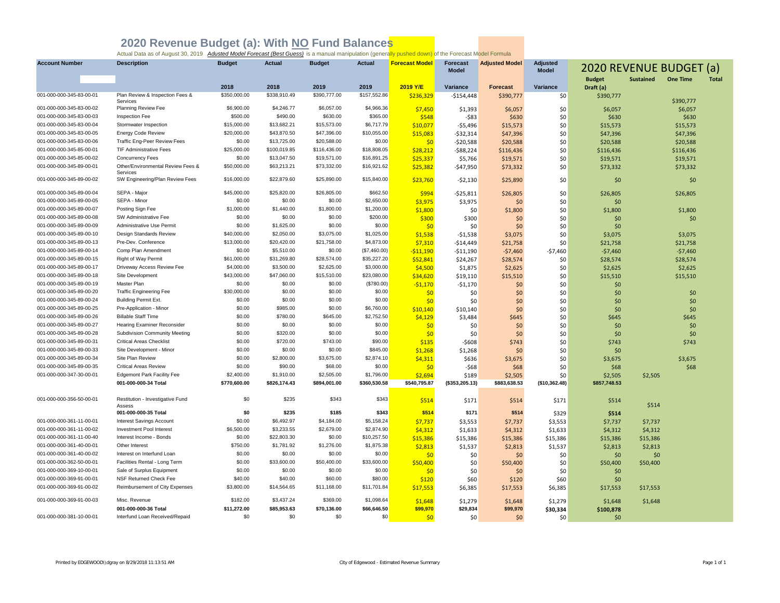| <b>Account Number</b>    | <b>Description</b>                            | <b>Budget</b> | <b>Actual</b> | <b>Budget</b> | <b>Actual</b> | <b>Forecast Model</b> | <b>Forecast</b><br><b>Model</b> | <b>Adjusted Model</b> | <b>Adjusted</b><br><b>Model</b> | <b>2020 REVENUE BUDGET (a)</b> |                  |                 |              |
|--------------------------|-----------------------------------------------|---------------|---------------|---------------|---------------|-----------------------|---------------------------------|-----------------------|---------------------------------|--------------------------------|------------------|-----------------|--------------|
|                          |                                               |               |               |               |               |                       |                                 |                       |                                 | <b>Budget</b>                  | <b>Sustained</b> | <b>One Time</b> | <b>Total</b> |
|                          |                                               | 2018          | 2018          | 2019          | 2019          | 2019 Y/E              | Variance                        | <b>Forecast</b>       | Variance                        | Draft (a)                      |                  |                 |              |
| 001-000-000-345-83-00-01 | Plan Review & Inspection Fees &<br>Services   | \$350,000.00  | \$338,910.49  | \$390,777.00  | \$157,552.86  | \$236,329             | $-$154,448$                     | \$390,777             | \$0                             | \$390,777                      |                  | \$390,777       |              |
| 001-000-000-345-83-00-02 | Planning Review Fee                           | \$6,900.00    | \$4,246.77    | \$6,057.00    | \$4,966.36    | \$7,450               | \$1,393                         | \$6,057               | \$0                             | \$6,057                        |                  | \$6,057         |              |
| 001-000-000-345-83-00-03 | Inspection Fee                                | \$500.00      | \$490.00      | \$630.00      | \$365.00      | \$548                 | $-583$                          | \$630                 | \$0                             | \$630                          |                  | \$630           |              |
| 001-000-000-345-83-00-04 | Stormwater Inspection                         | \$15,000.00   | \$13,682.21   | \$15,573.00   | \$6,717.79    | \$10,077              | $-55,496$                       | \$15,573              | \$0                             | \$15,573                       |                  | \$15,573        |              |
| 001-000-000-345-83-00-05 | <b>Energy Code Review</b>                     | \$20,000.00   | \$43,870.50   | \$47,396.00   | \$10,055.00   | \$15,083              | $-532,314$                      | \$47,396              | \$0                             | \$47,396                       |                  | \$47,396        |              |
| 001-000-000-345-83-00-06 | Traffic Eng-Peer Review Fees                  | \$0.00        | \$13,725.00   | \$20,588.00   | \$0.00        | \$0                   | $-520,588$                      | \$20,588              | \$0                             | \$20,588                       |                  | \$20,588        |              |
| 001-000-000-345-85-00-01 | <b>TIF Administrative Fees</b>                | \$25,000.00   | \$100,019.85  | \$116,436.00  | \$18,808.05   | \$28,212              | $-$ \$88,224                    | \$116,436             | \$0                             | \$116,436                      |                  | \$116,436       |              |
| 001-000-000-345-85-00-02 | Concurrency Fees                              | \$0.00        | \$13,047.50   | \$19,571.00   | \$16,891.25   | \$25,337              | \$5,766                         | \$19,571              | \$0                             | \$19,571                       |                  | \$19,571        |              |
| 001-000-000-345-89-00-01 | Other/Environmental Review Fees &<br>Services | \$50,000.00   | \$63,213.21   | \$73,332.00   | \$16,921.62   | \$25,382              | -\$47,950                       | \$73,332              | \$0                             | \$73,332                       |                  | \$73,332        |              |
| 001-000-000-345-89-00-02 | SW Engineering/Plan Review Fees               | \$16,000.00   | \$22,879.60   | \$25,890.00   | \$15,840.00   | \$23,760              | $-52,130$                       | \$25,890              | \$0                             | \$0                            |                  | \$0             |              |
| 001-000-000-345-89-00-04 | SEPA - Major                                  | \$45,000.00   | \$25,820.00   | \$26,805.00   | \$662.50      | \$994                 | $-525,811$                      | \$26,805              | \$0                             | \$26,805                       |                  | \$26,805        |              |
| 001-000-000-345-89-00-05 | SEPA - Minor                                  | \$0.00        | \$0.00        | \$0.00        | \$2,650.00    | \$3,975               | \$3,975                         | \$0                   | \$0                             | \$0                            |                  |                 |              |
| 001-000-000-345-89-00-07 | Posting Sign Fee                              | \$1,000.00    | \$1,440.00    | \$1,800.00    | \$1,200.00    | \$1,800               | \$0                             | \$1,800               | \$0                             | \$1,800                        |                  | \$1,800         |              |
| 001-000-000-345-89-00-08 | SW Administrative Fee                         | \$0.00        | \$0.00        | \$0.00        | \$200.00      | \$300                 | \$300                           | \$0                   | \$0                             | \$0                            |                  | \$0             |              |
| 001-000-000-345-89-00-09 | Administrative Use Permit                     | \$0.00        | \$1,625.00    | \$0.00        | \$0.00        | \$0                   | \$0                             | \$0                   | \$0                             | \$0                            |                  |                 |              |
| 001-000-000-345-89-00-10 | Design Standards Review                       | \$40,000.00   | \$2,050.00    | \$3,075.00    | \$1,025.00    | \$1,538               | $-51,538$                       | \$3,075               | \$0                             | \$3,075                        |                  | \$3,075         |              |
| 001-000-000-345-89-00-13 | Pre-Dev. Conference                           | \$13,000.00   | \$20,420.00   | \$21,758.00   | \$4,873.00    | \$7,310               | $-$14,449$                      | \$21,758              | \$0                             | \$21,758                       |                  | \$21,758        |              |
| 001-000-000-345-89-00-14 | Comp Plan Amendment                           | \$0.00        | \$5,510.00    | \$0.00        | (\$7,460.00)  | $-$11,190$            | $-511,190$                      | $-57,460$             | $-$7,460$                       | $-57,460$                      |                  | $-57,460$       |              |
| 001-000-000-345-89-00-15 | Right of Way Permit                           | \$61,000.00   | \$31,269.80   | \$28,574.00   | \$35,227.20   | \$52,841              | \$24,267                        | \$28,574              | \$0                             | \$28,574                       |                  | \$28,574        |              |
| 001-000-000-345-89-00-17 | Driveway Access Review Fee                    | \$4,000.00    | \$3,500.00    | \$2,625.00    | \$3,000.00    | \$4,500               | \$1,875                         | \$2,625               | \$0                             | \$2,625                        |                  | \$2,625         |              |
| 001-000-000-345-89-00-18 | Site Development                              | \$43,000.00   | \$47,060.00   | \$15,510.00   | \$23,080.00   | \$34,620              | \$19,110                        | \$15,510              | \$0                             | \$15,510                       |                  | \$15,510        |              |
| 001-000-000-345-89-00-19 | Master Plan                                   | \$0.00        | \$0.00        | \$0.00        | (\$780.00)    | $-51,170$             | $-51,170$                       | \$0                   | \$0                             | \$0                            |                  |                 |              |
| 001-000-000-345-89-00-20 | <b>Traffic Engineering Fee</b>                | \$30,000.00   | \$0.00        | \$0.00        | \$0.00        | \$0                   | \$0                             | \$0                   | \$0                             | \$0                            |                  | \$0             |              |
| 001-000-000-345-89-00-24 | <b>Building Permit Ext.</b>                   | \$0.00        | \$0.00        | \$0.00        | \$0.00        | \$0                   | \$0                             | \$0                   | \$0                             | \$0                            |                  | \$0             |              |
| 001-000-000-345-89-00-25 | Pre-Application - Minor                       | \$0.00        | \$985.00      | \$0.00        | \$6,760.00    | \$10,140              | \$10.140                        | \$0                   | \$0                             | \$0                            |                  | \$0             |              |
| 001-000-000-345-89-00-26 | <b>Billable Staff Time</b>                    | \$0.00        | \$780.00      | \$645.00      | \$2,752.50    | \$4,129               | \$3,484                         | \$645                 | \$0                             | \$645                          |                  | \$645           |              |
| 001-000-000-345-89-00-27 | <b>Hearing Examiner Reconsider</b>            | \$0.00        | \$0.00        | \$0.00        | \$0.00        | \$0                   | \$0                             | \$0                   | \$0                             | \$0                            |                  | \$0             |              |
| 001-000-000-345-89-00-28 | Subdivision Community Meeting                 | \$0.00        | \$320.00      | \$0.00        | \$0.00        | 50                    | \$0                             | \$0                   | \$0                             | \$0                            |                  | \$0             |              |
| 001-000-000-345-89-00-31 | <b>Critical Areas Checklist</b>               | \$0.00        | \$720.00      | \$743.00      | \$90.00       | \$135                 | $-$608$                         | \$743                 | \$0                             | \$743                          |                  | \$743           |              |
| 001-000-000-345-89-00-33 | Site Development - Minor                      | \$0.00        | \$0.00        | \$0.00        | \$845.00      | \$1,268               | \$1,268                         | \$0                   | \$0                             | \$0                            |                  |                 |              |
| 001-000-000-345-89-00-34 | Site Plan Review                              | \$0.00        | \$2,800.00    | \$3,675.00    | \$2,874.10    | \$4,311               | \$636                           | \$3,675               | \$0                             | \$3.675                        |                  | \$3.675         |              |
| 001-000-000-345-89-00-35 | <b>Critical Areas Review</b>                  | \$0.00        | \$90.00       | \$68.00       | \$0.00        | \$0                   | $-568$                          | \$68                  | \$0                             | \$68                           |                  | \$68            |              |
| 001-000-000-347-30-00-01 | <b>Edgemont Park Facility Fee</b>             | \$2,400.00    | \$1,910.00    | \$2,505.00    | \$1,796.00    | \$2,694               | \$189                           | \$2,505               | \$0                             | \$2,505                        | \$2,505          |                 |              |
|                          | 001-000-000-34 Total                          | \$770,600.00  | \$826,174.43  | \$894,001.00  | \$360,530.58  | \$540,795.87          | (\$353, 205.13)                 | \$883,638.53          | (\$10,362.48)                   | \$857,748.53                   |                  |                 |              |
| 001-000-000-356-50-00-01 | Restitution - Investigative Fund              | \$0           | \$235         | \$343         | \$343         | \$514                 | \$171                           | \$514                 | \$171                           | \$514                          | \$514            |                 |              |
|                          | Assess<br>001-000-000-35 Total                | \$0           | \$235         | \$185         | \$343         | \$514                 | \$171                           | \$514                 | \$329                           | \$514                          |                  |                 |              |
| 001-000-000-361-11-00-01 | <b>Interest Savings Account</b>               | \$0.00        | \$6,492.97    | \$4,184,00    | \$5,158.24    | \$7,737               | \$3,553                         | \$7,737               | \$3,553                         | \$7,737                        | \$7,737          |                 |              |
| 001-000-000-361-11-00-02 | Investment Pool Interest                      | \$6,500.00    | \$3,233.55    | \$2,679.00    | \$2,874.90    | \$4,312               | \$1,633                         | \$4,312               | \$1,633                         | \$4,312                        | \$4,312          |                 |              |
| 001-000-000-361-11-00-40 | Interest Income - Bonds                       | \$0.00        | \$22,803.30   | \$0.00        | \$10,257.50   | \$15,386              | \$15,386                        | \$15,386              | \$15,386                        | \$15,386                       | \$15,386         |                 |              |
| 001-000-000-361-40-00-01 | Other Interest                                | \$750.00      | \$1,781.92    | \$1,276.00    | \$1,875.38    | \$2,813               | \$1,537                         |                       | \$1,537                         |                                |                  |                 |              |
| 001-000-000-361-40-00-02 | Interest on Interfund Loan                    | \$0.00        | \$0.00        | \$0.00        | \$0.00        |                       |                                 | \$2,813               | \$0                             | \$2,813                        | \$2,813          |                 |              |
| 001-000-000-362-50-00-01 | Facilities Rental - Long Term                 | \$0.00        | \$33,600.00   | \$50,400.00   | \$33,600.00   | \$0                   | \$0                             | \$0                   | \$0                             | \$0                            | \$0              |                 |              |
| 001-000-000-369-10-00-01 | Sale of Surplus Equipment                     | \$0.00        | \$0.00        | \$0.00        | \$0.00        | \$50,400              | \$0                             | \$50,400              | \$0                             | \$50,400                       | \$50,400         |                 |              |
| 001-000-000-369-91-00-01 | NSF Returned Check Fee                        | \$40.00       | \$40.00       | \$60.00       | \$80.00       | \$0                   | \$0                             | \$0                   |                                 | \$0                            |                  |                 |              |
| 001-000-000-369-91-00-02 | Reimbursement of City Expenses                | \$3,800.00    | \$14,564.65   | \$11,168.00   | \$11,701.84   | \$120                 | \$60                            | \$120                 | \$60                            | \$0                            |                  |                 |              |
|                          |                                               |               |               |               |               | \$17,553              | \$6,385                         | \$17,553              | \$6,385                         | \$17,553                       | \$17,553         |                 |              |
| 001-000-000-369-91-00-03 | Misc. Revenue                                 | \$182.00      | \$3,437.24    | \$369.00      | \$1,098.64    | \$1.648               | \$1.279                         | \$1,648               | \$1,279                         | \$1,648                        | \$1.648          |                 |              |
|                          | 001-000-000-36 Total                          | \$11,272.00   | \$85,953.63   | \$70,136.00   | \$66,646.50   | \$99,970              | \$29,834                        | \$99,970              | \$30,334                        | \$100,878                      |                  |                 |              |
| 001-000-000-381-10-00-01 | Interfund Loan Received/Repaid                | \$0           | \$0           | \$0           | \$0           | \$0                   | \$0                             | \$0                   | \$0                             | \$0                            |                  |                 |              |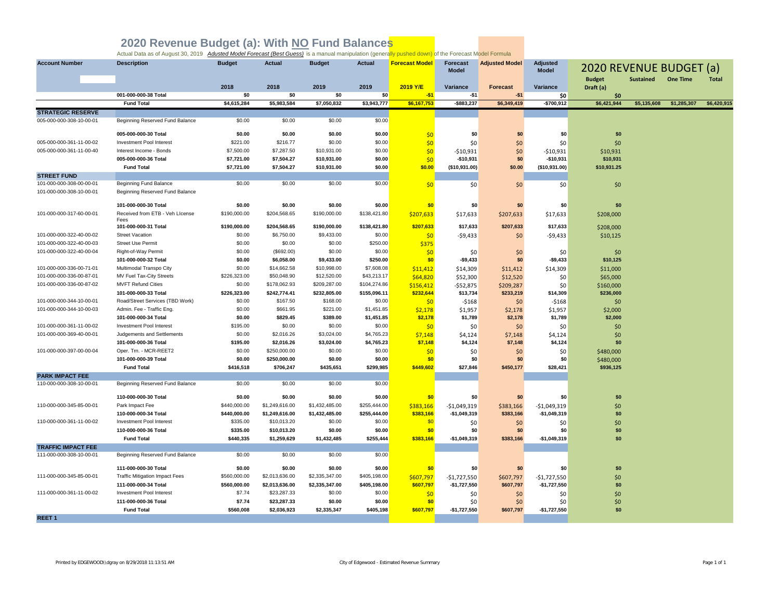| <b>Account Number</b>     | <b>Description</b>                        | <b>Budget</b>      | <b>Actual</b>      | <b>Budget</b>      | <b>Actual</b>      | <b>Forecast Model</b> | <b>Forecast</b><br><b>Model</b> | <b>Adjusted Model</b>  | <b>Adjusted</b><br><b>Model</b> | 2020 REVENUE BUDGET (a) |                  |                 |             |
|---------------------------|-------------------------------------------|--------------------|--------------------|--------------------|--------------------|-----------------------|---------------------------------|------------------------|---------------------------------|-------------------------|------------------|-----------------|-------------|
|                           |                                           |                    |                    |                    |                    |                       |                                 |                        |                                 | <b>Budget</b>           | <b>Sustained</b> | <b>One Time</b> | Total       |
|                           |                                           | 2018               | 2018               | 2019               | 2019               | 2019 Y/E              | Variance                        | <b>Forecast</b>        | Variance                        | Draft (a)               |                  |                 |             |
|                           | 001-000-000-38 Total<br><b>Fund Total</b> | \$0<br>\$4,615,284 | \$0<br>\$5,983,584 | \$0<br>\$7,050,832 | \$0<br>\$3,943,777 | $-51$<br>\$6,167,753  | $-$1$<br>$-$ \$883,237          | $-$ \$1<br>\$6,349,419 | \$0<br>$-$700,912$              | \$0<br>\$6,421,944      | \$5,135,608      | \$1,285,307     | \$6,420,915 |
| <b>STRATEGIC RESERVE</b>  |                                           |                    |                    |                    |                    |                       |                                 |                        |                                 |                         |                  |                 |             |
| 005-000-000-308-10-00-01  | Beginning Reserved Fund Balance           | \$0.00             | \$0.00             | \$0.00             | \$0.00             |                       |                                 |                        |                                 |                         |                  |                 |             |
|                           |                                           |                    |                    |                    |                    |                       |                                 |                        |                                 |                         |                  |                 |             |
|                           | 005-000-000-30 Total                      | \$0.00             | \$0.00             | \$0.00             | \$0.00             | \$0                   | \$0                             | \$0                    | \$0                             | \$0                     |                  |                 |             |
| 005-000-000-361-11-00-02  | Investment Pool Interest                  | \$221.00           | \$216.77           | \$0.00             | \$0.00             | \$0                   | \$0                             | \$0                    | \$0                             | \$0                     |                  |                 |             |
| 005-000-000-361-11-00-40  | Interest Income - Bonds                   | \$7,500.00         | \$7,287.50         | \$10,931.00        | \$0.00             | \$0                   | $-$10,931$                      | \$0                    | $-$10,931$                      | \$10,931                |                  |                 |             |
|                           | 005-000-000-36 Total                      | \$7,721.00         | \$7,504.27         | \$10,931.00        | \$0.00             | \$0                   | $-$10,931$                      | \$0                    | $-$10,931$                      | \$10,931                |                  |                 |             |
|                           | <b>Fund Total</b>                         | \$7,721.00         | \$7,504.27         | \$10,931.00        | \$0.00             | \$0.00                | (\$10,931.00)                   | \$0.00                 | (\$10,931.00)                   | \$10,931.25             |                  |                 |             |
| <b>STREET FUND</b>        |                                           |                    |                    |                    |                    |                       |                                 |                        |                                 |                         |                  |                 |             |
| 101-000-000-308-00-00-01  | <b>Beginning Fund Balance</b>             | \$0.00             | \$0.00             | \$0.00             | \$0.00             | \$0                   | \$0                             | \$0                    | \$0                             | \$0                     |                  |                 |             |
| 101-000-000-308-10-00-01  | Beginning Reserved Fund Balance           |                    |                    |                    |                    |                       |                                 |                        |                                 |                         |                  |                 |             |
|                           | 101-000-000-30 Total                      | \$0.00             | \$0.00             | \$0.00             | \$0.00             | \$0                   | \$0                             | \$0                    | \$0                             | \$0                     |                  |                 |             |
| 101-000-000-317-60-00-01  | Received from ETB - Veh Llcense           | \$190,000.00       | \$204,568.65       | \$190,000.00       | \$138,421.80       | \$207,633             | \$17,633                        |                        |                                 |                         |                  |                 |             |
|                           | Fees                                      |                    |                    |                    |                    |                       |                                 | \$207,633              | \$17,633                        | \$208,000               |                  |                 |             |
|                           | 101-000-000-31 Total                      | \$190,000.00       | \$204,568.65       | \$190,000.00       | \$138,421.80       | \$207,633             | \$17,633                        | \$207,633              | \$17,633                        | \$208,000               |                  |                 |             |
| 101-000-000-322-40-00-02  | <b>Street Vacation</b>                    | \$0.00             | \$6,750.00         | \$9,433.00         | \$0.00             | \$0                   | $-59,433$                       | \$0                    | $-59,433$                       | \$10,125                |                  |                 |             |
| 101-000-000-322-40-00-03  | <b>Street Use Permit</b>                  | \$0.00             | \$0.00             | \$0.00             | \$250.00           | \$375                 |                                 |                        |                                 |                         |                  |                 |             |
| 101-000-000-322-40-00-04  | Right-of-Way Permit                       | \$0.00             | (\$692.00)         | \$0.00             | \$0.00             | \$0                   | \$0                             | \$0                    | \$0                             | \$0                     |                  |                 |             |
|                           | 101-000-000-32 Total                      | \$0.00             | \$6,058.00         | \$9,433.00         | \$250.00           | \$0                   | $-$9,433$                       | \$0                    | $-$9,433$                       | \$10,125                |                  |                 |             |
| 101-000-000-336-00-71-01  | Multimodal Transpo City                   | \$0.00             | \$14,662.58        | \$10,998.00        | \$7,608.08         | \$11,412              | \$14,309                        | \$11,412               | \$14,309                        | \$11,000                |                  |                 |             |
| 101-000-000-336-00-87-01  | MV Fuel Tax-City Streets                  | \$226,323.00       | \$50,048.90        | \$12,520.00        | \$43,213.17        | \$64,820              | \$52,300                        | \$12,520               | \$0                             | \$65,000                |                  |                 |             |
| 101-000-000-336-00-87-02  | <b>MVFT Refund Cities</b>                 | \$0.00             | \$178,062.93       | \$209,287.00       | \$104,274.86       | \$156,412             | -\$52,875                       | \$209,287              | \$0                             | \$160,000               |                  |                 |             |
|                           | 101-000-000-33 Total                      | \$226,323.00       | \$242,774.41       | \$232,805.00       | \$155,096.11       | \$232,644             | \$13,734                        | \$233,219              | \$14,309                        | \$236,000               |                  |                 |             |
| 101-000-000-344-10-00-01  | Road/Street Services (TBD Work)           | \$0.00             | \$167.50           | \$168.00           | \$0.00             | \$0                   | $-$168$                         | \$0                    | $-$168$                         | \$0                     |                  |                 |             |
| 101-000-000-344-10-00-03  | Admin. Fee - Traffic Eng.                 | \$0.00             | \$661.95           | \$221.00           | \$1,451.85         | \$2,178               | \$1,957                         | \$2,178                | \$1,957                         | \$2,000                 |                  |                 |             |
|                           | 101-000-000-34 Total                      | \$0.00             | \$829.45           | \$389.00           | \$1,451.85         | \$2,178               | \$1,789                         | \$2,178                | \$1,789                         | \$2,000                 |                  |                 |             |
| 101-000-000-361-11-00-02  | Investment Pool Interest                  | \$195.00           | \$0.00             | \$0.00             | \$0.00             | \$0                   | \$0                             | \$0                    | \$0                             | \$0                     |                  |                 |             |
| 101-000-000-369-40-00-01  | Judgements and Settlements                | \$0.00             | \$2,016.26         | \$3,024.00         | \$4,765.23         | \$7,148               | \$4,124                         | \$7,148                | \$4,124                         | \$0                     |                  |                 |             |
|                           | 101-000-000-36 Total                      | \$195.00           | \$2,016.26         | \$3,024.00         | \$4,765.23         | \$7,148               | \$4,124                         | \$7,148                | \$4,124                         | \$0                     |                  |                 |             |
| 101-000-000-397-00-00-04  | Oper. Trn. - MCR-REET2                    | \$0.00             | \$250,000.00       | \$0.00             | \$0.00             | \$0                   | \$0                             | \$0                    | \$0                             | \$480,000               |                  |                 |             |
|                           | 101-000-000-39 Total                      | \$0.00             | \$250,000.00       | \$0.00             | \$0.00             | \$0                   | \$0                             | \$0                    | \$0                             | \$480,000               |                  |                 |             |
|                           | <b>Fund Total</b>                         | \$416,518          | \$706,247          | \$435,651          | \$299.985          | \$449,602             | \$27,846                        | \$450,177              | \$28,421                        | \$936,125               |                  |                 |             |
| <b>PARK IMPACT FEE</b>    |                                           |                    |                    |                    |                    |                       |                                 |                        |                                 |                         |                  |                 |             |
| 110-000-000-308-10-00-01  | Beginning Reserved Fund Balance           | \$0.00             | \$0.00             | \$0.00             | \$0.00             |                       |                                 |                        |                                 |                         |                  |                 |             |
|                           | 110-000-000-30 Total                      | \$0.00             | \$0.00             | \$0.00             | \$0.00             | \$0                   | \$0                             | \$0                    | \$0                             | \$0                     |                  |                 |             |
| 110-000-000-345-85-00-01  | Park Impact Fee                           | \$440,000.00       | \$1,249,616.00     | \$1,432,485.00     | \$255,444.00       | \$383,166             | $-$1,049,319$                   | \$383,166              | -\$1,049,319                    | \$0                     |                  |                 |             |
|                           | 110-000-000-34 Total                      | \$440,000.00       | \$1,249,616.00     | \$1,432,485.00     | \$255,444.00       | \$383,166             | $-$1,049,319$                   | \$383,166              | $-$1,049,319$                   | \$0                     |                  |                 |             |
| 110-000-000-361-11-00-02  | Investment Pool Interest                  | \$335.00           | \$10,013.20        | \$0.00             | \$0.00             | \$0                   | \$0                             | \$0                    | \$0                             | \$0                     |                  |                 |             |
|                           | 110-000-000-36 Total                      | \$335.00           | \$10,013.20        | \$0.00             | \$0.00             | \$0                   | \$0                             | \$0                    | \$0                             | \$0                     |                  |                 |             |
|                           | <b>Fund Total</b>                         | \$440,335          | \$1,259,629        | \$1,432,485        | \$255,444          | \$383,166             | $-$1,049,319$                   | \$383,166              | $-$1,049,319$                   | \$0                     |                  |                 |             |
| <b>TRAFFIC IMPACT FEE</b> |                                           |                    |                    |                    |                    |                       |                                 |                        |                                 |                         |                  |                 |             |
| 111-000-000-308-10-00-01  | Beginning Reserved Fund Balance           | \$0.00             | \$0.00             | \$0.00             | \$0.00             |                       |                                 |                        |                                 |                         |                  |                 |             |
|                           |                                           |                    |                    |                    |                    |                       |                                 |                        |                                 |                         |                  |                 |             |
|                           | 111-000-000-30 Total                      | \$0.00             | \$0.00             | \$0.00             | \$0.00             | \$0                   | \$0                             | \$0                    | \$0                             | \$0                     |                  |                 |             |
| 111-000-000-345-85-00-01  | <b>Traffic Mitigation Impact Fees</b>     | \$560,000.00       | \$2,013,636.00     | \$2,335,347.00     | \$405,198.00       | \$607,797             | $-$1,727,550$                   | \$607,797              | -\$1,727,550                    | \$0                     |                  |                 |             |
|                           | 111-000-000-34 Total                      | \$560,000.00       | \$2,013,636.00     | \$2,335,347.00     | \$405,198.00       | \$607,797             | $-$1,727,550$                   | \$607,797              | $-$1,727,550$                   | \$0                     |                  |                 |             |
| 111-000-000-361-11-00-02  | Investment Pool Interest                  | \$7.74             | \$23,287.33        | \$0.00             | \$0.00             | \$0                   | \$0                             | \$0                    | \$0                             | \$0                     |                  |                 |             |
|                           | 111-000-000-36 Total                      | \$7.74             | \$23,287.33        | \$0.00             | \$0.00             | \$0                   | \$0                             | \$0                    | \$0                             | \$0                     |                  |                 |             |
|                           | <b>Fund Total</b>                         | \$560.008          | \$2,036,923        | \$2,335,347        | \$405,198          | \$607,797             | $-$1,727,550$                   | \$607,797              | $-$1,727,550$                   | \$0                     |                  |                 |             |
| <b>REET1</b>              |                                           |                    |                    |                    |                    |                       |                                 |                        |                                 |                         |                  |                 |             |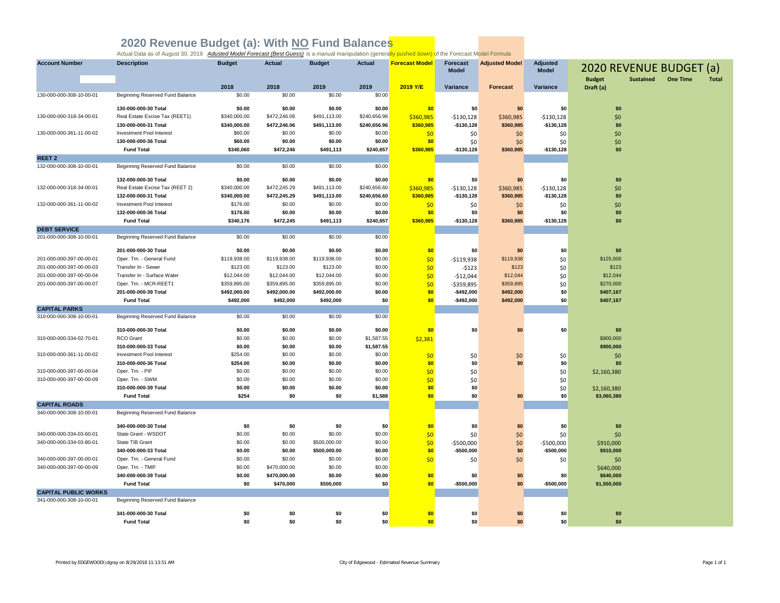| <b>Account Number</b>       | <b>Description</b>              | <b>Budget</b>  | <b>Actual</b>  | <b>Budget</b>  | <b>Actual</b>  | <b>Forecast Model</b>  | <b>Forecast</b><br><b>Model</b> | <b>Adjusted Model</b>  | <b>Adjusted</b><br><b>Model</b> | 2020 REVENUE BUDGET (a) |                  |                 |              |
|-----------------------------|---------------------------------|----------------|----------------|----------------|----------------|------------------------|---------------------------------|------------------------|---------------------------------|-------------------------|------------------|-----------------|--------------|
|                             |                                 |                |                |                |                |                        |                                 |                        |                                 | <b>Budget</b>           | <b>Sustained</b> | <b>One Time</b> | <b>Total</b> |
| 130-000-000-308-10-00-01    | Beginning Reserved Fund Balance | 2018<br>\$0.00 | 2018<br>\$0.00 | 2019<br>\$0.00 | 2019<br>\$0.00 | 2019 Y/E               | Variance                        | <b>Forecast</b>        | Variance                        | Draft (a)               |                  |                 |              |
|                             |                                 |                |                |                |                |                        |                                 |                        |                                 |                         |                  |                 |              |
|                             | 130-000-000-30 Total            | \$0.00         | \$0.00         | \$0.00         | \$0.00         | \$0                    | \$0                             | \$0                    | \$0                             | \$0                     |                  |                 |              |
| 130-000-000-318-34-00-01    | Real Estate Excise Tax (REET1)  | \$340,000.00   | \$472,246.06   | \$491,113.00   | \$240,656.96   | \$360,985              | $-$130,128$                     | \$360,985              | $-$130,128$                     | \$0                     |                  |                 |              |
|                             | 130-000-000-31 Total            | \$340,000.00   | \$472,246.06   | \$491,113.00   | \$240,656.96   | \$360,985              | $-$130,128$                     | \$360,985              | $-$130,128$                     | \$0                     |                  |                 |              |
| 130-000-000-361-11-00-02    | Investment Pool Interest        | \$60.00        | \$0.00         | \$0.00         | \$0.00         | \$0                    | \$0                             | \$0                    | \$0                             | \$0                     |                  |                 |              |
|                             | 130-000-000-36 Total            | \$60.00        | \$0.00         | \$0.00         | \$0.00         | \$0                    | \$0                             | \$0                    | \$0                             | \$0                     |                  |                 |              |
|                             | <b>Fund Total</b>               | \$340,060      | \$472,246      | \$491,113      | \$240,657      | \$360,985              | $-$130,128$                     | \$360,985              | $-$130,128$                     | \$0                     |                  |                 |              |
| REET <sub>2</sub>           |                                 |                |                |                |                |                        |                                 |                        |                                 |                         |                  |                 |              |
| 132-000-000-308-10-00-01    | Beginning Reserved Fund Balance | \$0.00         | \$0.00         | \$0.00         | \$0.00         |                        |                                 |                        |                                 |                         |                  |                 |              |
|                             | 132-000-000-30 Total            | \$0.00         | \$0.00         | \$0.00         | \$0.00         | \$0                    | \$0                             | \$0                    | \$0                             | \$0                     |                  |                 |              |
| 132-000-000-318-34-00-01    | Real Estate Excise Tax (REET 2) | \$340,000.00   | \$472,245.29   | \$491,113.00   | \$240,656.60   |                        |                                 |                        |                                 | \$0                     |                  |                 |              |
|                             | 132-000-000-31 Total            | \$340,000.00   | \$472,245.29   | \$491,113.00   | \$240,656.60   | \$360,985<br>\$360,985 | $-$130,128$<br>$-$130,128$      | \$360,985<br>\$360,985 | -\$130,128<br>$-$130,128$       | \$0                     |                  |                 |              |
| 132-000-000-361-11-00-02    | Investment Pool Interest        | \$176.00       | \$0.00         | \$0.00         | \$0.00         | \$0                    |                                 |                        | \$0                             | \$0                     |                  |                 |              |
|                             | 132-000-000-36 Total            | \$176.00       | \$0.00         | \$0.00         | \$0.00         | \$0                    | \$0<br>\$0                      | \$0<br>\$0             | \$0                             | \$0                     |                  |                 |              |
|                             | <b>Fund Total</b>               | \$340,176      | \$472,245      | \$491,113      | \$240,657      | \$360,985              | $-$130,128$                     | \$360,985              | $-$130,128$                     | \$0                     |                  |                 |              |
| <b>DEBT SERVICE</b>         |                                 |                |                |                |                |                        |                                 |                        |                                 |                         |                  |                 |              |
| 201-000-000-308-10-00-01    | Beginning Reserved Fund Balance | \$0.00         | \$0.00         | \$0.00         | \$0.00         |                        |                                 |                        |                                 |                         |                  |                 |              |
|                             |                                 |                |                |                |                |                        |                                 |                        |                                 |                         |                  |                 |              |
|                             | 201-000-000-30 Total            | \$0.00         | \$0.00         | \$0.00         | \$0.00         | \$0                    | \$0                             | \$0                    | \$0                             | \$0                     |                  |                 |              |
| 201-000-000-397-00-00-01    | Oper. Trn. - General Fund       | \$119,938.00   | \$119,938.00   | \$119,938.00   | \$0.00         | \$0                    | $-$119,938$                     | \$119,938              | \$0                             | \$125,000               |                  |                 |              |
| 201-000-000-397-00-00-03    | Transfer In - Sewer             | \$123.00       | \$123.00       | \$123.00       | \$0.00         | \$0                    | $-5123$                         | \$123                  | \$0                             | \$123                   |                  |                 |              |
| 201-000-000-397-00-00-04    | Transfer In - Surface Water     | \$12,044.00    | \$12,044.00    | \$12,044.00    | \$0.00         | \$0                    | $-512,044$                      | \$12,044               | \$0                             | \$12,044                |                  |                 |              |
| 201-000-000-397-00-00-07    | Oper. Trn. - MCR-REET1          | \$359,895.00   | \$359,895.00   | \$359,895.00   | \$0.00         | \$0                    | $-$359,895$                     | \$359,895              | \$0                             | \$270,000               |                  |                 |              |
|                             | 201-000-000-39 Total            | \$492,000.00   | \$492,000.00   | \$492,000.00   | \$0.00         | \$0                    | $-$492,000$                     | \$492,000              | \$0                             | \$407,167               |                  |                 |              |
|                             | <b>Fund Total</b>               | \$492,000      | \$492,000      | \$492,000      | \$0            | \$0                    | $-$492,000$                     | \$492,000              | \$0                             | \$407,167               |                  |                 |              |
| <b>CAPITAL PARKS</b>        |                                 |                |                |                |                |                        |                                 |                        |                                 |                         |                  |                 |              |
| 310-000-000-308-10-00-01    | Beginning Reserved Fund Balance | \$0.00         | \$0.00         | \$0.00         | \$0.00         |                        |                                 |                        |                                 |                         |                  |                 |              |
|                             | 310-000-000-30 Total            | \$0.00         | \$0.00         | \$0.00         | \$0.00         | \$0                    | \$0                             | \$0                    | \$0                             | \$0                     |                  |                 |              |
| 310-000-000-334-02-70-01    | RCO Grant                       | \$0.00         | \$0.00         | \$0.00         | \$1,587.55     | \$2,381                |                                 |                        |                                 | \$900,000               |                  |                 |              |
|                             | 310-000-000-33 Total            | \$0.00         | \$0.00         | \$0.00         | \$1,587.55     |                        |                                 |                        |                                 | \$900,000               |                  |                 |              |
| 310-000-000-361-11-00-02    | Investment Pool Interest        | \$254.00       | \$0.00         | \$0.00         | \$0.00         | \$0                    | \$0                             | \$0                    | \$0                             | \$0                     |                  |                 |              |
|                             | 310-000-000-36 Total            | \$254.00       | \$0.00         | \$0.00         | \$0.00         | \$0                    | \$0                             | \$0                    | \$0                             | \$0                     |                  |                 |              |
| 310-000-000-397-00-00-04    | Oper. Trn. - PIF                | \$0.00         | \$0.00         | \$0.00         | \$0.00         | \$0                    | \$0                             |                        | \$0                             | \$2,160,380             |                  |                 |              |
| 310-000-000-397-00-00-09    | Oper. Trn. - SWM                | \$0.00         | \$0.00         | \$0.00         | \$0.00         | \$0                    | \$0                             |                        | \$0                             |                         |                  |                 |              |
|                             | 310-000-000-39 Total            | \$0.00         | \$0.00         | \$0.00         | \$0.00         | \$0                    | \$0                             |                        | \$0                             | \$2,160,380             |                  |                 |              |
|                             | <b>Fund Total</b>               | \$254          | \$0            | \$0            | \$1,588        | \$0                    | \$0                             | \$0                    | \$0                             | \$3,060,380             |                  |                 |              |
| <b>CAPITAL ROADS</b>        |                                 |                |                |                |                |                        |                                 |                        |                                 |                         |                  |                 |              |
| 340-000-000-308-10-00-01    | Beginning Reserved Fund Balance |                |                |                |                |                        |                                 |                        |                                 |                         |                  |                 |              |
|                             | 340-000-000-30 Total            | \$0            | \$0            | \$0            | \$0            | \$0                    | \$0                             | \$0                    | \$0                             | \$0                     |                  |                 |              |
| 340-000-000-334-03-60-01    | State Grant - WSDOT             | \$0.00         | \$0.00         | \$0.00         | \$0.00         | \$0                    | \$0                             | \$0                    | \$0                             | \$0                     |                  |                 |              |
| 340-000-000-334-03-80-01    | State TIB Grant                 | \$0.00         | \$0.00         | \$500,000.00   | \$0.00         | \$0                    | $-$500,000$                     | \$0                    | $-$500,000$                     | \$910,000               |                  |                 |              |
|                             | 340-000-000-33 Total            | \$0.00         | \$0.00         | \$500,000.00   | \$0.00         | \$0                    | $-$500,000$                     | \$0                    | $-$500,000$                     | \$910,000               |                  |                 |              |
| 340-000-000-397-00-00-01    | Oper. Trn. - General Fund       | \$0.00         | \$0.00         | \$0.00         | \$0.00         | \$0                    | \$0                             | \$0                    | \$0                             | \$0                     |                  |                 |              |
| 340-000-000-397-00-00-09    | Oper. Trn. - TMIF               | \$0.00         | \$470,000.00   | \$0.00         | \$0.00         |                        |                                 |                        |                                 | \$640,000               |                  |                 |              |
|                             | 340-000-000-39 Total            | \$0.00         | \$470,000.00   | \$0.00         | \$0.00         | \$0                    | \$0                             | \$0                    | \$0                             | \$640,000               |                  |                 |              |
|                             | <b>Fund Total</b>               | \$0            | \$470,000      | \$500,000      | \$0            | \$0                    | $-$500,000$                     | \$0                    | $-$500,000$                     | \$1,550,000             |                  |                 |              |
| <b>CAPITAL PUBLIC WORKS</b> |                                 |                |                |                |                |                        |                                 |                        |                                 |                         |                  |                 |              |
| 341-000-000-308-10-00-01    | Beginning Reserved Fund Balance |                |                |                |                |                        |                                 |                        |                                 |                         |                  |                 |              |
|                             |                                 |                |                |                |                |                        |                                 |                        |                                 |                         |                  |                 |              |
|                             | 341-000-000-30 Total            | \$0            | \$0            | \$0            | \$0            | \$0                    | \$0                             | \$0                    | \$0                             | \$0                     |                  |                 |              |
|                             | <b>Fund Total</b>               | \$0            | \$0            | \$0            | \$0            | \$0                    | \$0                             | \$0                    | \$0                             | \$0                     |                  |                 |              |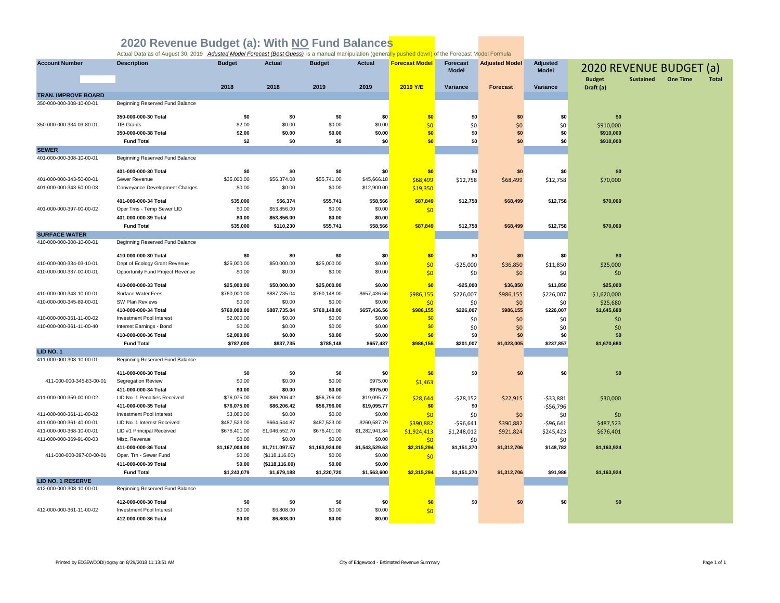| <b>Account Number</b>      | <b>Description</b>               | <b>Budget</b>  | <b>Actual</b>   | <b>Budget</b>  | <b>Actual</b>  | <b>Forecast Model</b> | <b>Forecast</b><br><b>Model</b> | <b>Adjusted Model</b> | <b>Adjusted</b><br><b>Model</b> | 2020 REVENUE BUDGET (a)    |                  |                 |              |
|----------------------------|----------------------------------|----------------|-----------------|----------------|----------------|-----------------------|---------------------------------|-----------------------|---------------------------------|----------------------------|------------------|-----------------|--------------|
|                            |                                  | 2018           | 2018            | 2019           | 2019           | 2019 Y/E              | Variance                        | <b>Forecast</b>       | Variance                        | <b>Budget</b><br>Draft (a) | <b>Sustained</b> | <b>One Time</b> | <b>Total</b> |
| <b>TRAN. IMPROVE BOARD</b> |                                  |                |                 |                |                |                       |                                 |                       |                                 |                            |                  |                 |              |
| 350-000-000-308-10-00-01   | Beginning Reserved Fund Balance  |                |                 |                |                |                       |                                 |                       |                                 |                            |                  |                 |              |
|                            | 350-000-000-30 Total             | \$0            | \$0             | \$0            | \$0            | \$0                   | \$0                             | \$0                   | \$0                             | \$0                        |                  |                 |              |
| 350-000-000-334-03-80-01   | <b>TIB Grants</b>                | \$2.00         | \$0.00          | \$0.00         | \$0.00         | \$0                   | \$0                             | \$0                   | \$0                             | \$910,000                  |                  |                 |              |
|                            | 350-000-000-38 Total             | \$2.00         | \$0.00          | \$0.00         | \$0.00         | \$0                   | \$0                             | \$0                   | \$0                             | \$910,000                  |                  |                 |              |
|                            | <b>Fund Total</b>                | \$2            | \$0             | \$0            | \$0            | \$0                   | \$0                             | \$0                   | \$0                             | \$910,000                  |                  |                 |              |
| <b>SEWER</b>               |                                  |                |                 |                |                |                       |                                 |                       |                                 |                            |                  |                 |              |
| 401-000-000-308-10-00-01   | Beginning Reserved Fund Balance  |                |                 |                |                |                       |                                 |                       |                                 |                            |                  |                 |              |
|                            | 401-000-000-30 Total             | \$0            | \$0             | \$0            | \$0            | \$0                   | \$0                             | \$0                   | \$0                             | \$0                        |                  |                 |              |
| 401-000-000-343-50-00-01   | Sewer Revenue                    | \$35,000.00    | \$56,374.08     | \$55,741.00    | \$45,666.18    | \$68,499              | \$12,758                        | \$68,499              | \$12,758                        | \$70,000                   |                  |                 |              |
| 401-000-000-343-50-00-03   | Conveyance Development Charges   | \$0.00         | \$0.00          | \$0.00         | \$12,900.00    | \$19,350              |                                 |                       |                                 |                            |                  |                 |              |
|                            |                                  |                |                 |                |                |                       |                                 |                       |                                 |                            |                  |                 |              |
|                            | 401-000-000-34 Total             | \$35,000       | \$56,374        | \$55,741       | \$58,566       | \$87,849              | \$12,758                        | \$68,499              | \$12,758                        | \$70,000                   |                  |                 |              |
| 401-000-000-397-00-00-02   | Oper Trns - Temp Sewer LID       | \$0.00         | \$53,856.00     | \$0.00         | \$0.00         | \$0                   |                                 |                       |                                 |                            |                  |                 |              |
|                            | 401-000-000-39 Total             | \$0.00         | \$53,856.00     | \$0.00         | \$0.00         |                       |                                 |                       |                                 |                            |                  |                 |              |
| <b>SURFACE WATER</b>       | <b>Fund Total</b>                | \$35,000       | \$110,230       | \$55,741       | \$58,566       | \$87,849              | \$12,758                        | \$68,499              | \$12,758                        | \$70,000                   |                  |                 |              |
| 410-000-000-308-10-00-01   | Beginning Reserved Fund Balance  |                |                 |                |                |                       |                                 |                       |                                 |                            |                  |                 |              |
|                            |                                  |                |                 |                |                |                       |                                 |                       |                                 |                            |                  |                 |              |
|                            | 410-000-000-30 Total             | \$0            | \$0             | \$0            | \$0            | \$0                   | \$0                             | \$0                   | \$0                             | \$0                        |                  |                 |              |
| 410-000-000-334-03-10-01   | Dept of Ecology Grant Revenue    | \$25,000.00    | \$50,000.00     | \$25,000.00    | \$0.00         | \$0                   | $-$25,000$                      | \$36,850              | \$11,850                        | \$25,000                   |                  |                 |              |
| 410-000-000-337-00-00-01   | Opportunity Fund Project Revenue | \$0.00         | \$0.00          | \$0.00         | \$0.00         | \$0                   | \$0                             | \$0                   | \$0                             | \$0                        |                  |                 |              |
|                            | 410-000-000-33 Total             | \$25,000.00    | \$50,000.00     | \$25,000.00    | \$0.00         | \$0                   | $-$25,000$                      | \$36,850              | \$11,850                        | \$25,000                   |                  |                 |              |
| 410-000-000-343-10-00-01   | Surface Water Fees               | \$760,000.00   | \$887,735.04    | \$760,148.00   | \$657,436.56   | \$986,155             | \$226,007                       | \$986,155             | \$226,007                       | \$1,620,000                |                  |                 |              |
| 410-000-000-345-89-00-01   | SW Plan Reviews                  | \$0.00         | \$0.00          | \$0.00         | \$0.00         | \$0                   | \$0                             | \$0                   | \$0                             | \$25,680                   |                  |                 |              |
|                            | 410-000-000-34 Total             | \$760,000.00   | \$887,735.04    | \$760,148.00   | \$657,436.56   | \$986,155             | \$226,007                       | \$986,155             | \$226,007                       | \$1,645,680                |                  |                 |              |
| 410-000-000-361-11-00-02   | Investment Pool Interest         | \$2,000.00     | \$0.00          | \$0.00         | \$0.00         | \$0                   | \$0                             | \$0                   | \$0                             | \$0                        |                  |                 |              |
| 410-000-000-361-11-00-40   | Interest Earnings - Bond         | \$0.00         | \$0.00          | \$0.00         | \$0.00         | \$0                   | \$0                             | \$0                   | \$0                             | \$0                        |                  |                 |              |
|                            | 410-000-000-36 Total             | \$2,000.00     | \$0.00          | \$0.00         | \$0.00         | \$0                   | \$0                             | \$0                   | \$0                             | \$0                        |                  |                 |              |
|                            | <b>Fund Total</b>                | \$787,000      | \$937,735       | \$785,148      | \$657,437      | \$986,155             | \$201,007                       | \$1,023,005           | \$237,857                       | \$1,670,680                |                  |                 |              |
| LID NO. 1                  |                                  |                |                 |                |                |                       |                                 |                       |                                 |                            |                  |                 |              |
| 411-000-000-308-10-00-01   | Beginning Reserved Fund Balance  |                |                 |                |                |                       |                                 |                       |                                 |                            |                  |                 |              |
|                            | 411-000-000-30 Total             | \$0            | \$0             | \$0            | \$0            | \$0                   | \$0                             | \$0                   | \$0                             | \$0                        |                  |                 |              |
| 411-000-000-345-83-00-01   | <b>Segregation Review</b>        | \$0.00         | \$0.00          | \$0.00         | \$975.00       | \$1,463               |                                 |                       |                                 |                            |                  |                 |              |
|                            | 411-000-000-34 Total             | \$0.00         | \$0.00          | \$0.00         | \$975.00       |                       |                                 |                       |                                 |                            |                  |                 |              |
| 411-000-000-359-00-00-02   | LID No. 1 Penalties Received     | \$76,075.00    | \$86,206.42     | \$56,796.00    | \$19,095.77    | \$28,644              | $-528,152$                      | \$22,915              | $-533,881$                      | \$30,000                   |                  |                 |              |
|                            | 411-000-000-35 Total             | \$76,075.00    | \$86,206.42     | \$56,796.00    | \$19,095.77    | \$0                   | \$0                             |                       | $-$56,796$                      |                            |                  |                 |              |
| 411-000-000-361-11-00-02   | Investment Pool Interest         | \$3,080.00     | \$0.00          | \$0.00         | \$0.00         | \$0                   | \$0                             | \$0                   | \$0                             | \$0                        |                  |                 |              |
| 411-000-000-361-40-00-01   | LID No. 1 Interest Received      | \$487,523.00   | \$664,544.87    | \$487,523.00   | \$260,587.79   | \$390,882             | $-$96,641$                      | \$390,882             | $-$96,641$                      | \$487,523                  |                  |                 |              |
| 411-000-000-368-10-00-01   | LID #1 Principal Received        | \$676,401.00   | \$1,046,552.70  | \$676,401.00   | \$1,282,941.84 | \$1,924,413           | \$1,248,012                     | \$921,824             | \$245,423                       | \$676,401                  |                  |                 |              |
| 411-000-000-369-91-00-03   | Misc. Revenue                    | \$0.00         | \$0.00          | \$0.00         | \$0.00         | 50                    | \$0                             |                       | \$0                             |                            |                  |                 |              |
|                            | 411-000-000-36 Total             | \$1,167,004.00 | \$1,711,097.57  | \$1,163,924.00 | \$1,543,529.63 | \$2,315,294           | \$1,151,370                     | \$1,312,706           | \$148,782                       | \$1,163,924                |                  |                 |              |
| 411-000-000-397-00-00-01   | Oper. Trn - Sewer Fund           | \$0.00         | (\$118, 116.00) | \$0.00         | \$0.00         | \$0                   |                                 |                       |                                 |                            |                  |                 |              |
|                            | 411-000-000-39 Total             | \$0.00         | (\$118, 116.00) | \$0.00         | \$0.00         |                       |                                 |                       |                                 |                            |                  |                 |              |
| <b>LID NO. 1 RESERVE</b>   | <b>Fund Total</b>                | \$1,243,079    | \$1,679,188     | \$1,220,720    | \$1,563,600    | \$2,315,294           | \$1,151,370                     | \$1,312,706           | \$91,986                        | \$1,163,924                |                  |                 |              |
| 412-000-000-308-10-00-01   | Beginning Reserved Fund Balance  |                |                 |                |                |                       |                                 |                       |                                 |                            |                  |                 |              |
|                            | 412-000-000-30 Total             | \$0            | \$0             | \$0            | \$0            | \$0                   | \$0                             | \$0                   | \$0                             | \$0                        |                  |                 |              |
| 412-000-000-361-11-00-02   | Investment Pool Interest         | \$0.00         | \$6,808.00      | \$0.00         | \$0.00         | \$0                   |                                 |                       |                                 |                            |                  |                 |              |
|                            | 412-000-000-36 Total             | \$0.00         | \$6,808.00      | \$0.00         | \$0.00         |                       |                                 |                       |                                 |                            |                  |                 |              |